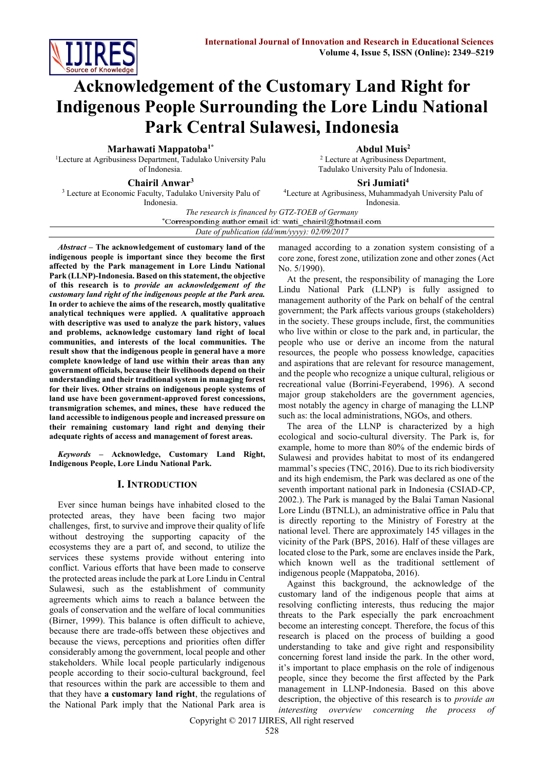

# **Acknowledgement of the Customary Land Right for Indigenous People Surrounding the Lore Lindu National Park Central Sulawesi, Indonesia**

**Marhawati Mappatoba1\***

<sup>1</sup>Lecture at Agribusiness Department, Tadulako University Palu of Indonesia.

**Chairil Anwar<sup>3</sup>**

**Abdul Muis<sup>2</sup>**

<sup>2</sup> Lecture at Agribusiness Department, Tadulako University Palu of Indonesia.

<sup>3</sup> Lecture at Economic Faculty, Tadulako University Palu of Indonesia.

**Sri Jumiati<sup>4</sup>**

<sup>4</sup>Lecture at Agribusiness, Muhammadyah University Palu of Indonesia.

*The research is financed by GTZ-TOEB of Germany*

*Date of publication (dd/mm/yyyy): 02/09/2017*

*Abstract* **– The acknowledgement of customary land of the indigenous people is important since they become the first affected by the Park management in Lore Lindu National Park (LLNP)-Indonesia. Based on this statement, the objective of this research is to** *provide an acknowledgement of the customary land right of the indigenous people at the Park area.*  **In order to achieve the aims of the research, mostly qualitative analytical techniques were applied. A qualitative approach with descriptive was used to analyze the park history, values and problems, acknowledge customary land right of local communities, and interests of the local communities. The result show that the indigenous people in general have a more complete knowledge of land use within their areas than any government officials, because their livelihoods depend on their understanding and their traditional system in managing forest for their lives. Other strains on indigenous people systems of land use have been government-approved forest concessions, transmigration schemes, and mines, these have reduced the land accessible to indigenous people and increased pressure on their remaining customary land right and denying their adequate rights of access and management of forest areas.** 

*Keywords –* **Acknowledge, Customary Land Right, Indigenous People, Lore Lindu National Park.**

# **I. INTRODUCTION**

Ever since human beings have inhabited closed to the protected areas, they have been facing two major challenges, first, to survive and improve their quality of life without destroying the supporting capacity of the ecosystems they are a part of, and second, to utilize the services these systems provide without entering into conflict. Various efforts that have been made to conserve the protected areas include the park at Lore Lindu in Central Sulawesi, such as the establishment of community agreements which aims to reach a balance between the goals of conservation and the welfare of local communities (Birner, 1999). This balance is often difficult to achieve, because there are trade-offs between these objectives and because the views, perceptions and priorities often differ considerably among the government, local people and other stakeholders. While local people particularly indigenous people according to their socio-cultural background, feel that resources within the park are accessible to them and that they have **a customary land right**, the regulations of the National Park imply that the National Park area is

managed according to a zonation system consisting of a core zone, forest zone, utilization zone and other zones (Act No. 5/1990).

At the present, the responsibility of managing the Lore Lindu National Park (LLNP) is fully assigned to management authority of the Park on behalf of the central government; the Park affects various groups (stakeholders) in the society. These groups include, first, the communities who live within or close to the park and, in particular, the people who use or derive an income from the natural resources, the people who possess knowledge, capacities and aspirations that are relevant for resource management, and the people who recognize a unique cultural, religious or recreational value (Borrini-Feyerabend, 1996). A second major group stakeholders are the government agencies, most notably the agency in charge of managing the LLNP such as: the local administrations, NGOs, and others.

The area of the LLNP is characterized by a high ecological and socio-cultural diversity. The Park is, for example, home to more than 80% of the endemic birds of Sulawesi and provides habitat to most of its endangered mammal's species (TNC, 2016). Due to its rich biodiversity and its high endemism, the Park was declared as one of the seventh important national park in Indonesia (CSIAD-CP, 2002.). The Park is managed by the Balai Taman Nasional Lore Lindu (BTNLL), an administrative office in Palu that is directly reporting to the Ministry of Forestry at the national level. There are approximately 145 villages in the vicinity of the Park (BPS, 2016). Half of these villages are located close to the Park, some are enclaves inside the Park, which known well as the traditional settlement of indigenous people (Mappatoba, 2016).

Against this background, the acknowledge of the customary land of the indigenous people that aims at resolving conflicting interests, thus reducing the major threats to the Park especially the park encroachment become an interesting concept. Therefore, the focus of this research is placed on the process of building a good understanding to take and give right and responsibility concerning forest land inside the park. In the other word, it's important to place emphasis on the role of indigenous people, since they become the first affected by the Park management in LLNP-Indonesia. Based on this above description, the objective of this research is to *provide an interesting overview concerning the process of* 

Copyright © 2017 IJIRES, All right reserved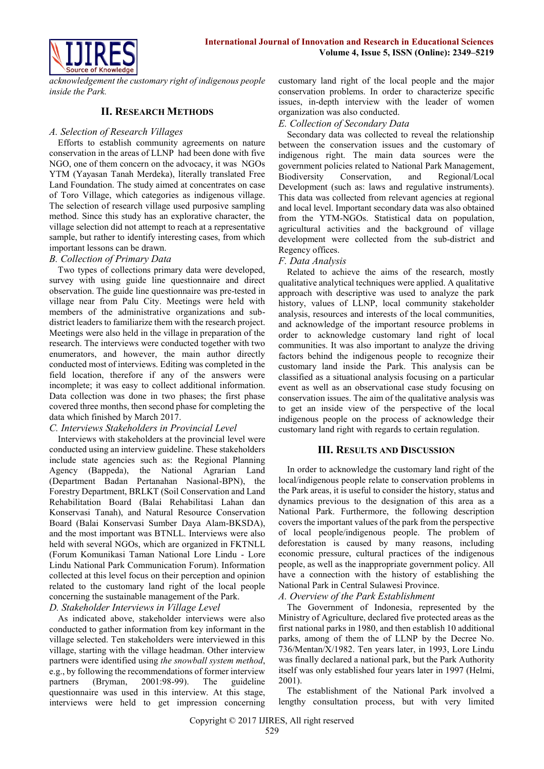

*acknowledgement the customary right of indigenous people inside the Park.*

# **II. RESEARCH METHODS**

#### *A. Selection of Research Villages*

Efforts to establish community agreements on nature conservation in the areas of LLNP had been done with five NGO, one of them concern on the advocacy, it was NGOs YTM (Yayasan Tanah Merdeka), literally translated Free Land Foundation. The study aimed at concentrates on case of Toro Village, which categories as indigenous village. The selection of research village used purposive sampling method. Since this study has an explorative character, the village selection did not attempt to reach at a representative sample, but rather to identify interesting cases, from which important lessons can be drawn.

#### *B. Collection of Primary Data*

Two types of collections primary data were developed, survey with using guide line questionnaire and direct observation. The guide line questionnaire was pre-tested in village near from Palu City. Meetings were held with members of the administrative organizations and subdistrict leaders to familiarize them with the research project. Meetings were also held in the village in preparation of the research. The interviews were conducted together with two enumerators, and however, the main author directly conducted most of interviews. Editing was completed in the field location, therefore if any of the answers were incomplete; it was easy to collect additional information. Data collection was done in two phases; the first phase covered three months, then second phase for completing the data which finished by March 2017.

# *C. Interviews Stakeholders in Provincial Level*

Interviews with stakeholders at the provincial level were conducted using an interview guideline. These stakeholders include state agencies such as: the Regional Planning Agency (Bappeda), the National Agrarian Land (Department Badan Pertanahan Nasional-BPN), the Forestry Department, BRLKT (Soil Conservation and Land Rehabilitation Board (Balai Rehabilitasi Lahan dan Konservasi Tanah), and Natural Resource Conservation Board (Balai Konservasi Sumber Daya Alam-BKSDA), and the most important was BTNLL. Interviews were also held with several NGOs, which are organized in FKTNLL (Forum Komunikasi Taman National Lore Lindu - Lore Lindu National Park Communication Forum). Information collected at this level focus on their perception and opinion related to the customary land right of the local people concerning the sustainable management of the Park.

*D. Stakeholder Interviews in Village Level*

As indicated above, stakeholder interviews were also conducted to gather information from key informant in the village selected. Ten stakeholders were interviewed in this village, starting with the village headman. Other interview partners were identified using *the snowball system method*, e.g., by following the recommendations of former interview partners (Bryman, 2001:98-99). The guideline questionnaire was used in this interview. At this stage, interviews were held to get impression concerning customary land right of the local people and the major conservation problems. In order to characterize specific issues, in-depth interview with the leader of women organization was also conducted.

#### *E. Collection of Secondary Data*

Secondary data was collected to reveal the relationship between the conservation issues and the customary of indigenous right. The main data sources were the government policies related to National Park Management, Biodiversity Conservation, and Regional/Local Development (such as: laws and regulative instruments). This data was collected from relevant agencies at regional and local level. Important secondary data was also obtained from the YTM-NGOs. Statistical data on population, agricultural activities and the background of village development were collected from the sub-district and Regency offices.

#### *F. Data Analysis*

Related to achieve the aims of the research, mostly qualitative analytical techniques were applied. A qualitative approach with descriptive was used to analyze the park history, values of LLNP, local community stakeholder analysis, resources and interests of the local communities, and acknowledge of the important resource problems in order to acknowledge customary land right of local communities. It was also important to analyze the driving factors behind the indigenous people to recognize their customary land inside the Park. This analysis can be classified as a situational analysis focusing on a particular event as well as an observational case study focusing on conservation issues. The aim of the qualitative analysis was to get an inside view of the perspective of the local indigenous people on the process of acknowledge their customary land right with regards to certain regulation.

#### **III. RESULTS AND DISCUSSION**

In order to acknowledge the customary land right of the local/indigenous people relate to conservation problems in the Park areas, it is useful to consider the history, status and dynamics previous to the designation of this area as a National Park. Furthermore, the following description covers the important values of the park from the perspective of local people/indigenous people. The problem of deforestation is caused by many reasons, including economic pressure, cultural practices of the indigenous people, as well as the inappropriate government policy. All have a connection with the history of establishing the National Park in Central Sulawesi Province.

*A. Overview of the Park Establishment* 

The Government of Indonesia, represented by the Ministry of Agriculture, declared five protected areas as the first national parks in 1980, and then establish 10 additional parks, among of them the of LLNP by the Decree No. 736/Mentan/X/1982. Ten years later, in 1993, Lore Lindu was finally declared a national park, but the Park Authority itself was only established four years later in 1997 (Helmi, 2001).

The establishment of the National Park involved a lengthy consultation process, but with very limited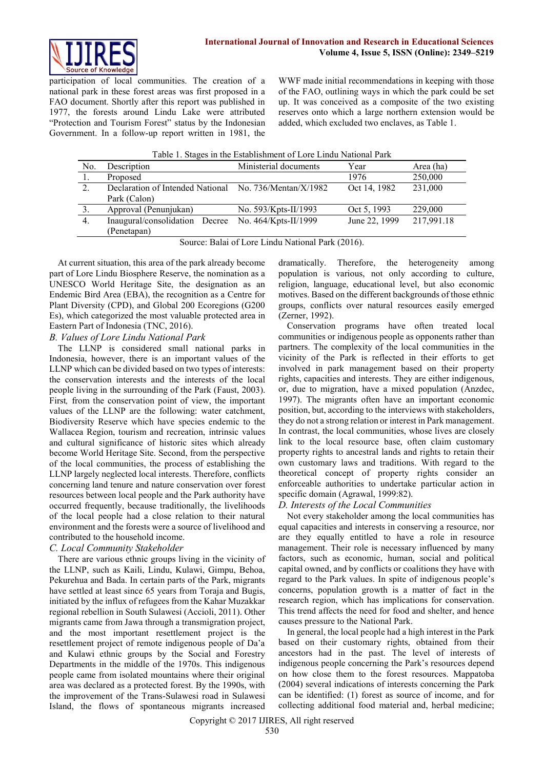

participation of local communities. The creation of a national park in these forest areas was first proposed in a FAO document. Shortly after this report was published in 1977, the forests around Lindu Lake were attributed "Protection and Tourism Forest" status by the Indonesian Government. In a follow-up report written in 1981, the

WWF made initial recommendations in keeping with those of the FAO, outlining ways in which the park could be set up. It was conceived as a composite of the two existing reserves onto which a large northern extension would be added, which excluded two enclaves, as Table 1.

| Table 1. Stages in the Establishment of Lore Lindu National Park |  |  |  |  |  |
|------------------------------------------------------------------|--|--|--|--|--|
|------------------------------------------------------------------|--|--|--|--|--|

| No. | Description                                            | Ministerial documents | Year          | Area (ha)  |  |  |  |
|-----|--------------------------------------------------------|-----------------------|---------------|------------|--|--|--|
| -1. | Proposed                                               |                       | 1976          | 250,000    |  |  |  |
| 2.  | Declaration of Intended National No. 736/Mentan/X/1982 |                       | Oct 14, 1982  | 231,000    |  |  |  |
|     | Park (Calon)                                           |                       |               |            |  |  |  |
| 3.  | Approval (Penunjukan)                                  | No. 593/Kpts-II/1993  | Oct 5, 1993   | 229,000    |  |  |  |
| 4.  | Inaugural/consolidation Decree                         | No. 464/Kpts-II/1999  | June 22, 1999 | 217,991.18 |  |  |  |
|     | (Penetapan)                                            |                       |               |            |  |  |  |

Source: Balai of Lore Lindu National Park (2016).

At current situation, this area of the park already become part of Lore Lindu Biosphere Reserve, the nomination as a UNESCO World Heritage Site, the designation as an Endemic Bird Area (EBA), the recognition as a Centre for Plant Diversity (CPD), and Global 200 Ecoregions (G200 Es), which categorized the most valuable protected area in Eastern Part of Indonesia (TNC, 2016).

# *B. Values of Lore Lindu National Park*

The LLNP is considered small national parks in Indonesia, however, there is an important values of the LLNP which can be divided based on two types of interests: the conservation interests and the interests of the local people living in the surrounding of the Park (Faust, 2003). First*,* from the conservation point of view, the important values of the LLNP are the following: water catchment, Biodiversity Reserve which have species endemic to the Wallacea Region, tourism and recreation, intrinsic values and cultural significance of historic sites which already become World Heritage Site. Second, from the perspective of the local communities, the process of establishing the LLNP largely neglected local interests. Therefore, conflicts concerning land tenure and nature conservation over forest resources between local people and the Park authority have occurred frequently, because traditionally, the livelihoods of the local people had a close relation to their natural environment and the forests were a source of livelihood and contributed to the household income.

# *C. Local Community Stakeholder*

There are various ethnic groups living in the vicinity of the LLNP, such as Kaili, Lindu, Kulawi, Gimpu, Behoa, Pekurehua and Bada. In certain parts of the Park, migrants have settled at least since 65 years from Toraja and Bugis, initiated by the influx of refugees from the Kahar Muzakkar regional rebellion in South Sulawesi (Accioli, 2011). Other migrants came from Jawa through a transmigration project, and the most important resettlement project is the resettlement project of remote indigenous people of Da'a and Kulawi ethnic groups by the Social and Forestry Departments in the middle of the 1970s. This indigenous people came from isolated mountains where their original area was declared as a protected forest. By the 1990s, with the improvement of the Trans-Sulawesi road in Sulawesi Island, the flows of spontaneous migrants increased

dramatically. Therefore, the heterogeneity among population is various, not only according to culture, religion, language, educational level, but also economic motives. Based on the different backgrounds of those ethnic groups, conflicts over natural resources easily emerged (Zerner, 1992).

Conservation programs have often treated local communities or indigenous people as opponents rather than partners. The complexity of the local communities in the vicinity of the Park is reflected in their efforts to get involved in park management based on their property rights, capacities and interests. They are either indigenous, or, due to migration, have a mixed population (Anzdec, 1997). The migrants often have an important economic position, but, according to the interviews with stakeholders, they do not a strong relation or interest in Park management. In contrast, the local communities, whose lives are closely link to the local resource base, often claim customary property rights to ancestral lands and rights to retain their own customary laws and traditions. With regard to the theoretical concept of property rights consider an enforceable authorities to undertake particular action in specific domain (Agrawal, 1999:82).

# *D. Interests of the Local Communities*

Not every stakeholder among the local communities has equal capacities and interests in conserving a resource, nor are they equally entitled to have a role in resource management. Their role is necessary influenced by many factors, such as economic, human, social and political capital owned, and by conflicts or coalitions they have with regard to the Park values. In spite of indigenous people's concerns, population growth is a matter of fact in the research region, which has implications for conservation. This trend affects the need for food and shelter, and hence causes pressure to the National Park.

In general, the local people had a high interest in the Park based on their customary rights, obtained from their ancestors had in the past. The level of interests of indigenous people concerning the Park's resources depend on how close them to the forest resources. Mappatoba (2004) several indications of interests concerning the Park can be identified: (1) forest as source of income, and for collecting additional food material and, herbal medicine;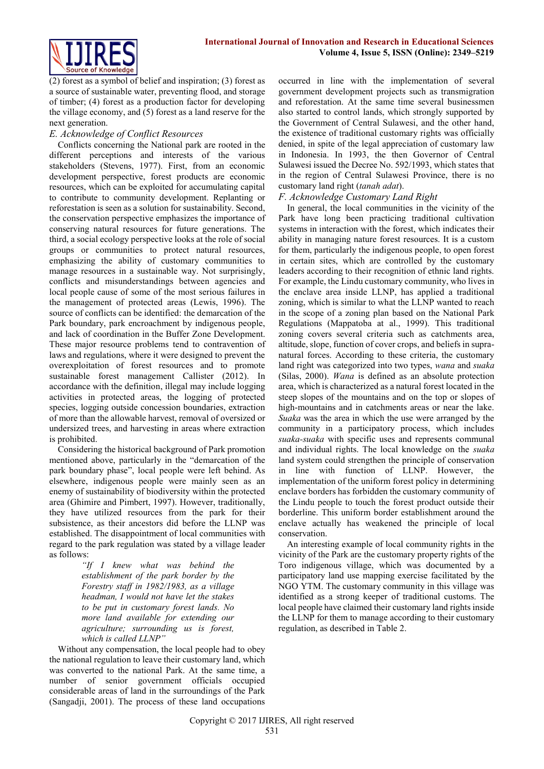

(2) forest as a symbol of belief and inspiration; (3) forest as a source of sustainable water, preventing flood, and storage of timber; (4) forest as a production factor for developing the village economy, and (5) forest as a land reserve for the next generation.

# *E. Acknowledge of Conflict Resources*

Conflicts concerning the National park are rooted in the different perceptions and interests of the various stakeholders (Stevens, 1977). First, from an economic development perspective, forest products are economic resources, which can be exploited for accumulating capital to contribute to community development. Replanting or reforestation is seen as a solution for sustainability. Second, the conservation perspective emphasizes the importance of conserving natural resources for future generations. The third, a social ecology perspective looks at the role of social groups or communities to protect natural resources, emphasizing the ability of customary communities to manage resources in a sustainable way. Not surprisingly, conflicts and misunderstandings between agencies and local people cause of some of the most serious failures in the management of protected areas (Lewis, 1996). The source of conflicts can be identified: the demarcation of the Park boundary, park encroachment by indigenous people, and lack of coordination in the Buffer Zone Development. These major resource problems tend to contravention of laws and regulations, where it were designed to prevent the overexploitation of forest resources and to promote sustainable forest management Callister (2012). In accordance with the definition, illegal may include logging activities in protected areas, the logging of protected species, logging outside concession boundaries, extraction of more than the allowable harvest, removal of oversized or undersized trees, and harvesting in areas where extraction is prohibited.

Considering the historical background of Park promotion mentioned above, particularly in the "demarcation of the park boundary phase", local people were left behind. As elsewhere, indigenous people were mainly seen as an enemy of sustainability of biodiversity within the protected area (Ghimire and Pimbert, 1997). However, traditionally, they have utilized resources from the park for their subsistence, as their ancestors did before the LLNP was established. The disappointment of local communities with regard to the park regulation was stated by a village leader as follows:

> *"If I knew what was behind the establishment of the park border by the Forestry staff in 1982/1983, as a village headman, I would not have let the stakes to be put in customary forest lands. No more land available for extending our agriculture; surrounding us is forest, which is called LLNP"*

Without any compensation, the local people had to obey the national regulation to leave their customary land, which was converted to the national Park. At the same time, a number of senior government officials occupied considerable areas of land in the surroundings of the Park (Sangadji, 2001). The process of these land occupations occurred in line with the implementation of several government development projects such as transmigration and reforestation. At the same time several businessmen also started to control lands, which strongly supported by the Government of Central Sulawesi, and the other hand, the existence of traditional customary rights was officially denied, in spite of the legal appreciation of customary law in Indonesia. In 1993, the then Governor of Central Sulawesi issued the Decree No. 592/1993, which states that in the region of Central Sulawesi Province, there is no customary land right (*tanah adat*).

# *F. Acknowledge Customary Land Right*

In general, the local communities in the vicinity of the Park have long been practicing traditional cultivation systems in interaction with the forest, which indicates their ability in managing nature forest resources. It is a custom for them, particularly the indigenous people, to open forest in certain sites, which are controlled by the customary leaders according to their recognition of ethnic land rights. For example, the Lindu customary community, who lives in the enclave area inside LLNP, has applied a traditional zoning, which is similar to what the LLNP wanted to reach in the scope of a zoning plan based on the National Park Regulations (Mappatoba at al., 1999). This traditional zoning covers several criteria such as catchments area, altitude, slope, function of cover crops, and beliefs in supranatural forces. According to these criteria, the customary land right was categorized into two types, *wana* and *suaka*  (Silas, 2000). *Wana* is defined as an absolute protection area, which is characterized as a natural forest located in the steep slopes of the mountains and on the top or slopes of high-mountains and in catchments areas or near the lake. *Suaka* was the area in which the use were arranged by the community in a participatory process, which includes *suaka-suaka* with specific uses and represents communal and individual rights. The local knowledge on the *suaka* land system could strengthen the principle of conservation in line with function of LLNP. However, the implementation of the uniform forest policy in determining enclave borders has forbidden the customary community of the Lindu people to touch the forest product outside their borderline. This uniform border establishment around the enclave actually has weakened the principle of local conservation.

An interesting example of local community rights in the vicinity of the Park are the customary property rights of the Toro indigenous village, which was documented by a participatory land use mapping exercise facilitated by the NGO YTM. The customary community in this village was identified as a strong keeper of traditional customs. The local people have claimed their customary land rights inside the LLNP for them to manage according to their customary regulation, as described in Table 2.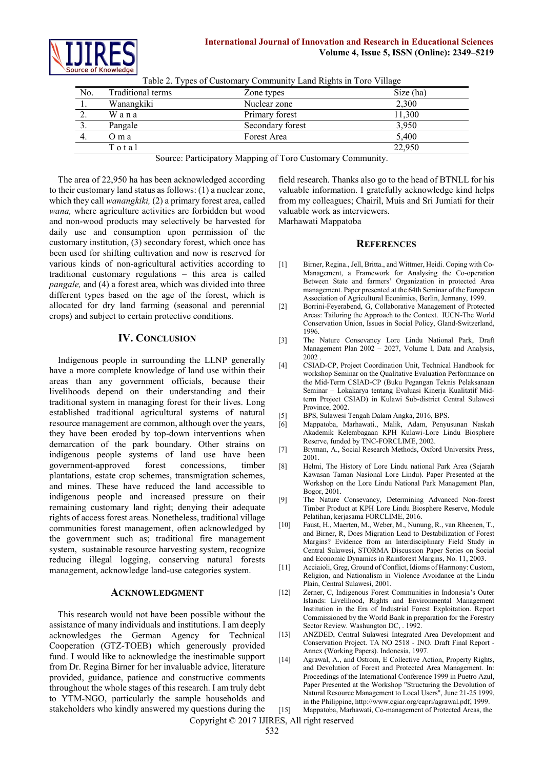

#### **International Journal of Innovation and Research in Educational Sciences Volume 4, Issue 5, ISSN (Online): 2349–5219**

| N <sub>0</sub> | Traditional terms | Zone types       | Size (ha) |
|----------------|-------------------|------------------|-----------|
|                | Wanangkiki        | Nuclear zone     | 2,300     |
| 2.             | Wana              | Primary forest   | 11,300    |
|                | Pangale           | Secondary forest | 3,950     |
| 4.             | O m a             | Forest Area      | 5,400     |
|                | Total             |                  | 22,950    |
|                |                   |                  |           |

Table 2. Types of Customary Community Land Rights in Toro Village

Source: Participatory Mapping of Toro Customary Community.

The area of 22,950 ha has been acknowledged according to their customary land status as follows: (1) a nuclear zone, which they call *wanangkiki,* (2) a primary forest area, called *wana,* where agriculture activities are forbidden but wood and non-wood products may selectively be harvested for daily use and consumption upon permission of the customary institution, (3) secondary forest, which once has been used for shifting cultivation and now is reserved for various kinds of non-agricultural activities according to traditional customary regulations – this area is called *pangale,* and (4) a forest area, which was divided into three different types based on the age of the forest, which is allocated for dry land farming (seasonal and perennial crops) and subject to certain protective conditions.

#### **IV. CONCLUSION**

Indigenous people in surrounding the LLNP generally have a more complete knowledge of land use within their areas than any government officials, because their livelihoods depend on their understanding and their traditional system in managing forest for their lives. Long established traditional agricultural systems of natural resource management are common, although over the years, they have been eroded by top-down interventions when demarcation of the park boundary. Other strains on indigenous people systems of land use have been government-approved forest concessions, timber plantations, estate crop schemes, transmigration schemes, and mines. These have reduced the land accessible to indigenous people and increased pressure on their remaining customary land right; denying their adequate rights of access forest areas. Nonetheless, traditional village communities forest management, often acknowledged by the government such as; traditional fire management system, sustainable resource harvesting system, recognize reducing illegal logging, conserving natural forests management, acknowledge land-use categories system.

#### **ACKNOWLEDGMENT**

This research would not have been possible without the assistance of many individuals and institutions. I am deeply acknowledges the German Agency for Technical Cooperation (GTZ-TOEB) which generously provided fund. I would like to acknowledge the inestimable support from Dr. Regina Birner for her invaluable advice, literature provided, guidance, patience and constructive comments throughout the whole stages of this research. I am truly debt to YTM-NGO, particularly the sample households and stakeholders who kindly answered my questions during the field research. Thanks also go to the head of BTNLL for his valuable information. I gratefully acknowledge kind helps from my colleagues; Chairil, Muis and Sri Jumiati for their valuable work as interviewers.

Marhawati Mappatoba

#### **REFERENCES**

- [1] Birner, Regina., Jell, Britta., and Wittmer, Heidi. Coping with Co-Management, a Framework for Analysing the Co-operation Between State and farmers' Organization in protected Area management. Paper presented at the 64th Seminar of the European Association of Agricultural Econimics, Berlin, Jermany, 1999.
- [2] Borrini-Feyerabend, G, Collaborative Management of Protected Areas: Tailoring the Approach to the Context. IUCN-The World Conservation Union, Issues in Social Policy, Gland-Switzerland, 1996.
- [3] The Nature Consevancy Lore Lindu National Park, Draft Management Plan 2002 – 2027, Volume l, Data and Analysis, 2002
- [4] CSIAD-CP, Project Coordination Unit, Technical Handbook for workshop Seminar on the Qualitative Evaluation Performance on the Mid-Term CSIAD-CP (Buku Pegangan Teknis Pelaksanaan Seminar – Lokakarya tentang Evaluasi Kinerja Kualitatif Midterm Project CSIAD) in Kulawi Sub-district Central Sulawesi Province, 2002.
- [5] BPS, Sulawesi Tengah Dalam Angka, 2016, BPS.
- [6] Mappatoba, Marhawati., Malik, Adam, Penyusunan Naskah Akademik Kelembagaan KPH Kulawi-Lore Lindu Biosphere Reserve, funded by TNC-FORCLIME, 2002.
- [7] Bryman, A., Social Research Methods, Oxford Universitx Press, 2001.
- [8] Helmi, The History of Lore Lindu national Park Area (Sejarah Kawasan Taman Nasional Lore Lindu). Paper Presented at the Workshop on the Lore Lindu National Park Management Plan, Bogor, 2001.
- [9] The Nature Consevancy, Determining Advanced Non-forest Timber Product at KPH Lore Lindu Biosphere Reserve, Module Pelatihan, kerjasama FORCLIME, 2016.
- [10] Faust, H., Maerten, M., Weber, M., Nunung, R., van Rheenen, T., and Birner, R, Does Migration Lead to Destabilization of Forest Margins? Evidence from an Interdisciplinary Field Study in Central Sulawesi, STORMA Discussion Paper Series on Social and Economic Dynamics in Rainforest Margins, No. 11, 2003.
- [11] Acciaioli, Greg, Ground of Conflict, Idioms of Harmony: Custom, Religion, and Nationalism in Violence Avoidance at the Lindu Plain, Central Sulawesi, 2001.
- [12] Zerner, C, Indigenous Forest Communities in Indonesia's Outer Islands: Livelihood, Rights and Environmental Management Institution in the Era of Industrial Forest Exploitation. Report Commissioned by the World Bank in preparation for the Forestry Sector Review. Washungton DC, . 1992.
- [13] ANZDED, Central Sulawesi Integrated Area Development and Conservation Project. TA NO 2518 - INO. Draft Final Report - Annex (Working Papers). Indonesia, 1997.
- [14] Agrawal, A., and Ostrom, E Collective Action, Property Rights, and Devolution of Forest and Protected Area Management. In: Proceedings of the International Conference 1999 in Puetro Azul, Paper Presented at the Workshop "Structuring the Devolution of Natural Resource Management to Local Users", June 21-25 1999, in the Philippine[, http://www.cgiar.org/capri/agrawal.pdf,](http://www.cgiar.org/capri/agrawal.pdf) 1999.

Copyright © 2017 IJIRES, All right reserved

<sup>[15]</sup> Mappatoba, Marhawati, Co-management of Protected Areas, the